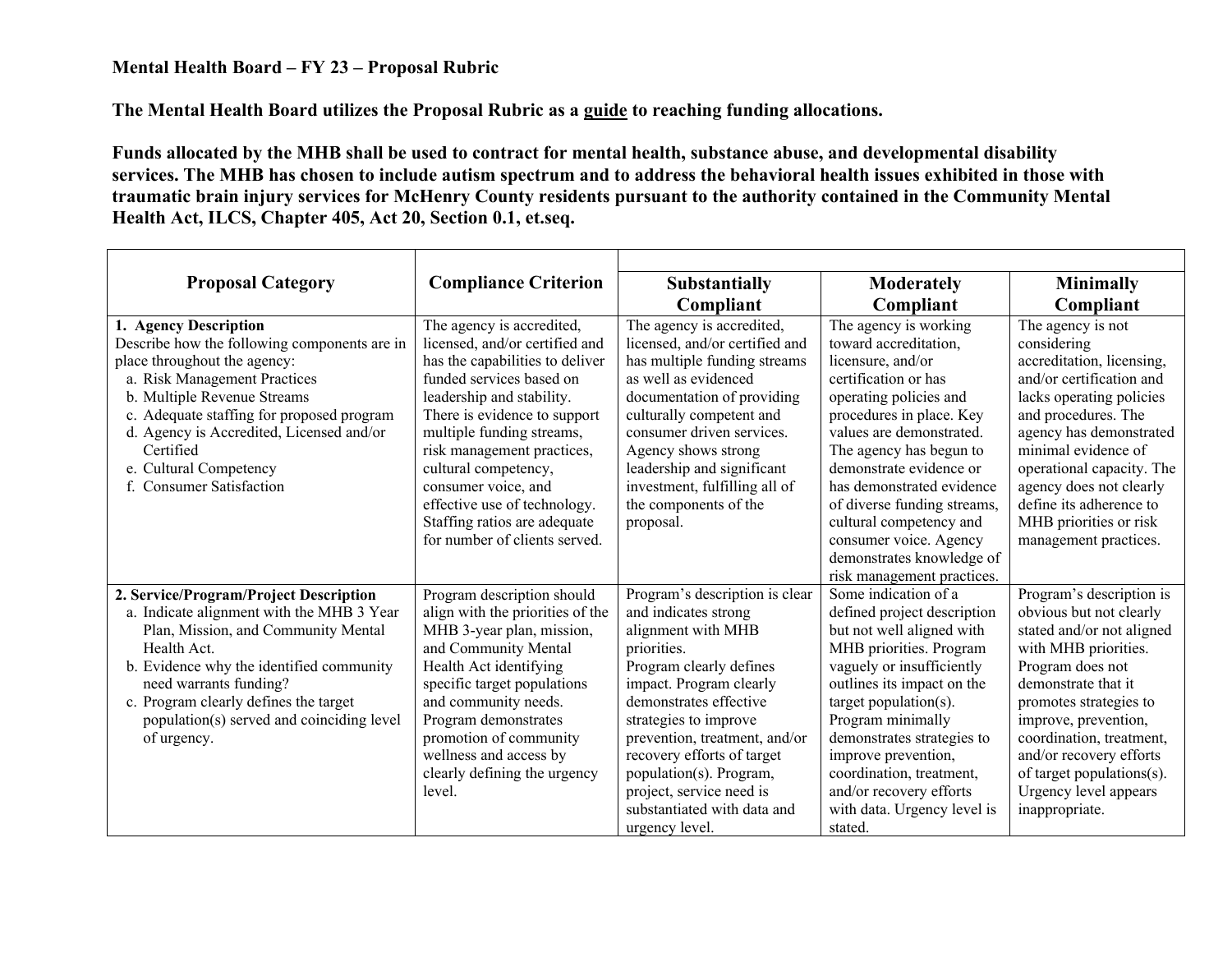## **Mental Health Board – FY 23 – Proposal Rubric**

**The Mental Health Board utilizes the Proposal Rubric as a guide to reaching funding allocations.** 

**Funds allocated by the MHB shall be used to contract for mental health, substance abuse, and developmental disability services. The MHB has chosen to include autism spectrum and to address the behavioral health issues exhibited in those with traumatic brain injury services for McHenry County residents pursuant to the authority contained in the Community Mental Health Act, ILCS, Chapter 405, Act 20, Section 0.1, et.seq.** 

| <b>Proposal Category</b>                                                                                                                                                                                                                                                                                                         | <b>Compliance Criterion</b>                                                                                                                                                                                                                                                                                                                                                                        | <b>Substantially</b>                                                                                                                                                                                                                                                                                                                                                        | <b>Moderately</b>                                                                                                                                                                                                                                                                                                                                                                                               | <b>Minimally</b>                                                                                                                                                                                                                                                                                                                     |
|----------------------------------------------------------------------------------------------------------------------------------------------------------------------------------------------------------------------------------------------------------------------------------------------------------------------------------|----------------------------------------------------------------------------------------------------------------------------------------------------------------------------------------------------------------------------------------------------------------------------------------------------------------------------------------------------------------------------------------------------|-----------------------------------------------------------------------------------------------------------------------------------------------------------------------------------------------------------------------------------------------------------------------------------------------------------------------------------------------------------------------------|-----------------------------------------------------------------------------------------------------------------------------------------------------------------------------------------------------------------------------------------------------------------------------------------------------------------------------------------------------------------------------------------------------------------|--------------------------------------------------------------------------------------------------------------------------------------------------------------------------------------------------------------------------------------------------------------------------------------------------------------------------------------|
|                                                                                                                                                                                                                                                                                                                                  |                                                                                                                                                                                                                                                                                                                                                                                                    | Compliant                                                                                                                                                                                                                                                                                                                                                                   | Compliant                                                                                                                                                                                                                                                                                                                                                                                                       | Compliant                                                                                                                                                                                                                                                                                                                            |
| 1. Agency Description<br>Describe how the following components are in<br>place throughout the agency:<br>a. Risk Management Practices<br>b. Multiple Revenue Streams<br>c. Adequate staffing for proposed program<br>d. Agency is Accredited, Licensed and/or<br>Certified<br>e. Cultural Competency<br>f. Consumer Satisfaction | The agency is accredited,<br>licensed, and/or certified and<br>has the capabilities to deliver<br>funded services based on<br>leadership and stability.<br>There is evidence to support<br>multiple funding streams,<br>risk management practices,<br>cultural competency,<br>consumer voice, and<br>effective use of technology.<br>Staffing ratios are adequate<br>for number of clients served. | The agency is accredited,<br>licensed, and/or certified and<br>has multiple funding streams<br>as well as evidenced<br>documentation of providing<br>culturally competent and<br>consumer driven services.<br>Agency shows strong<br>leadership and significant<br>investment, fulfilling all of<br>the components of the<br>proposal.                                      | The agency is working<br>toward accreditation,<br>licensure, and/or<br>certification or has<br>operating policies and<br>procedures in place. Key<br>values are demonstrated.<br>The agency has begun to<br>demonstrate evidence or<br>has demonstrated evidence<br>of diverse funding streams,<br>cultural competency and<br>consumer voice. Agency<br>demonstrates knowledge of<br>risk management practices. | The agency is not<br>considering<br>accreditation, licensing,<br>and/or certification and<br>lacks operating policies<br>and procedures. The<br>agency has demonstrated<br>minimal evidence of<br>operational capacity. The<br>agency does not clearly<br>define its adherence to<br>MHB priorities or risk<br>management practices. |
| 2. Service/Program/Project Description<br>a. Indicate alignment with the MHB 3 Year<br>Plan, Mission, and Community Mental<br>Health Act.<br>b. Evidence why the identified community<br>need warrants funding?<br>c. Program clearly defines the target<br>population(s) served and coinciding level<br>of urgency.             | Program description should<br>align with the priorities of the<br>MHB 3-year plan, mission,<br>and Community Mental<br>Health Act identifying<br>specific target populations<br>and community needs.<br>Program demonstrates<br>promotion of community<br>wellness and access by<br>clearly defining the urgency<br>level.                                                                         | Program's description is clear<br>and indicates strong<br>alignment with MHB<br>priorities.<br>Program clearly defines<br>impact. Program clearly<br>demonstrates effective<br>strategies to improve<br>prevention, treatment, and/or<br>recovery efforts of target<br>population(s). Program,<br>project, service need is<br>substantiated with data and<br>urgency level. | Some indication of a<br>defined project description<br>but not well aligned with<br>MHB priorities. Program<br>vaguely or insufficiently<br>outlines its impact on the<br>target population( $s$ ).<br>Program minimally<br>demonstrates strategies to<br>improve prevention,<br>coordination, treatment,<br>and/or recovery efforts<br>with data. Urgency level is<br>stated.                                  | Program's description is<br>obvious but not clearly<br>stated and/or not aligned<br>with MHB priorities.<br>Program does not<br>demonstrate that it<br>promotes strategies to<br>improve, prevention,<br>coordination, treatment,<br>and/or recovery efforts<br>of target populations(s).<br>Urgency level appears<br>inappropriate. |